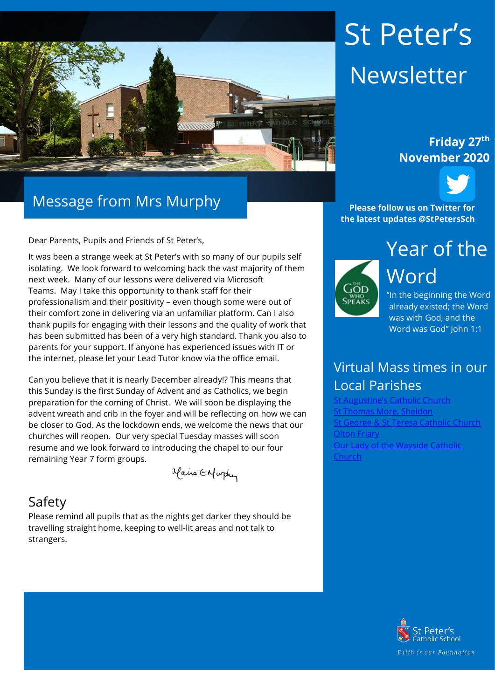

### Message from Mrs Murphy

Dear Parents, Pupils and Friends of St Peter's,

It was been a strange week at St Peter's with so many of our pupils self isolating. We look forward to welcoming back the vast majority of them next week. Many of our lessons were delivered via Microsoft Teams. May I take this opportunity to thank staff for their professionalism and their positivity – even though some were out of their comfort zone in delivering via an unfamiliar platform. Can I also thank pupils for engaging with their lessons and the quality of work that has been submitted has been of a very high standard. Thank you also to parents for your support. If anyone has experienced issues with IT or the internet, please let your Lead Tutor know via the office email.

Can you believe that it is nearly December already!? This means that this Sunday is the first Sunday of Advent and as Catholics, we begin preparation for the coming of Christ. We will soon be displaying the advent wreath and crib in the foyer and will be reflecting on how we can be closer to God. As the lockdown ends, we welcome the news that our churches will reopen. Our very special Tuesday masses will soon resume and we look forward to introducing the chapel to our four remaining Year 7 form groups.

Maire Enfurthy

#### Safety

Please remind all pupils that as the nights get darker they should be travelling straight home, keeping to well-lit areas and not talk to strangers.

# St Peter's Newsletter

## **November 2020**



**Please follow us on Twitter for the latest updates @StPetersSch**



"In the beginning the Word already existed; the Word was with God, and the Word was God" John 1:1

#### Virtual Mass times in our Local Parishes

**[St Augustine's Catholic Church](https://www.staugustinesolihull.org.uk/welcome/mass-book-your-place/)** [St Thomas More, Sheldon](https://www.stthomasmorercchurch.com/) St Teresa Catholic Church [Olton Friary](https://www.oltonfriary.org.uk/) [Our Lady of the Wayside Catholic](http://ourladyofthewaysidechurchshirley.co.uk/)  [Church](http://ourladyofthewaysidechurchshirley.co.uk/)

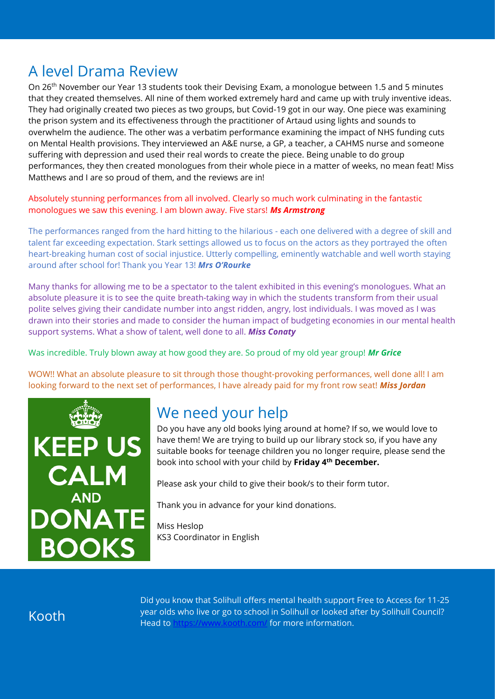#### A level Drama Review

On 26th November our Year 13 students took their Devising Exam, a monologue between 1.5 and 5 minutes that they created themselves. All nine of them worked extremely hard and came up with truly inventive ideas. They had originally created two pieces as two groups, but Covid-19 got in our way. One piece was examining the prison system and its effectiveness through the practitioner of Artaud using lights and sounds to overwhelm the audience. The other was a verbatim performance examining the impact of NHS funding cuts on Mental Health provisions. They interviewed an A&E nurse, a GP, a teacher, a CAHMS nurse and someone suffering with depression and used their real words to create the piece. Being unable to do group performances, they then created monologues from their whole piece in a matter of weeks, no mean feat! Miss Matthews and I are so proud of them, and the reviews are in!

Absolutely stunning performances from all involved. Clearly so much work culminating in the fantastic monologues we saw this evening. I am blown away. Five stars! *Ms Armstrong*

The performances ranged from the hard hitting to the hilarious - each one delivered with a degree of skill and talent far exceeding expectation. Stark settings allowed us to focus on the actors as they portrayed the often heart-breaking human cost of social injustice. Utterly compelling, eminently watchable and well worth staying around after school for! Thank you Year 13! *Mrs O'Rourke*

Many thanks for allowing me to be a spectator to the talent exhibited in this evening's monologues. What an absolute pleasure it is to see the quite breath-taking way in which the students transform from their usual polite selves giving their candidate number into angst ridden, angry, lost individuals. I was moved as I was drawn into their stories and made to consider the human impact of budgeting economies in our mental health support systems. What a show of talent, well done to all. *Miss Conaty*

Was incredible. Truly blown away at how good they are. So proud of my old year group! *Mr Grice*

WOW!! What an absolute pleasure to sit through those thought-provoking performances, well done all! I am looking forward to the next set of performances, I have already paid for my front row seat! *Miss Jordan*



### We need your help

Do you have any old books lying around at home? If so, we would love to have them! We are trying to build up our library stock so, if you have any suitable books for teenage children you no longer require, please send the book into school with your child by **Friday 4th December.**

Please ask your child to give their book/s to their form tutor.

Thank you in advance for your kind donations.

Miss Heslop KS3 Coordinator in English

Kooth

Did you know that Solihull offers mental health support Free to Access for 11-25 year olds who live or go to school in Solihull or looked after by Solihull Council? Head to<https://www.kooth.com/> for more information.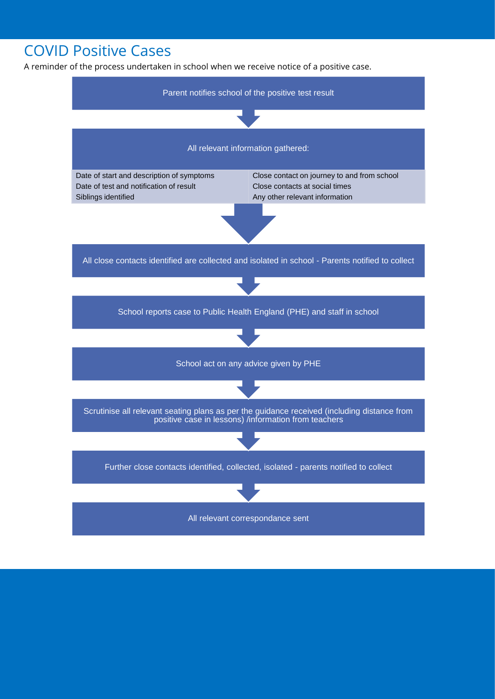#### COVID Positive Cases

A reminder of the process undertaken in school when we receive notice of a positive case.